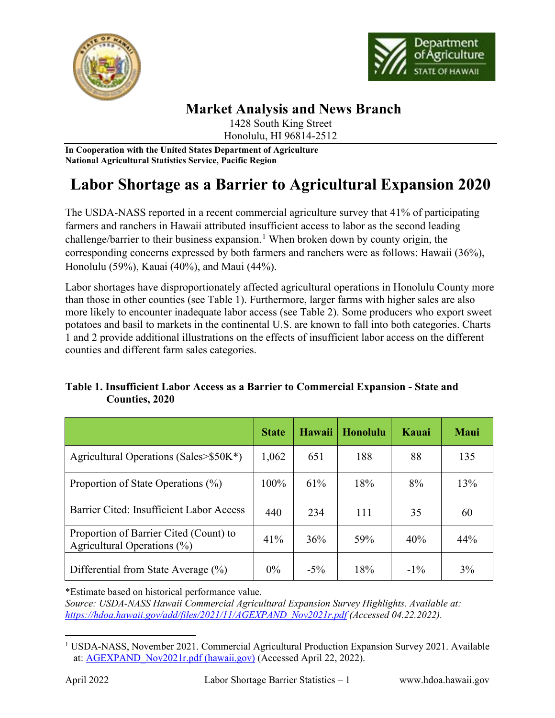



## **Market Analysis and News Branch**

1428 South King Street Honolulu, HI 96814-2512

**In Cooperation with the United States Department of Agriculture National Agricultural Statistics Service, Pacific Region**

# **Labor Shortage as a Barrier to Agricultural Expansion 2020**

The USDA-NASS reported in a recent commercial agriculture survey that 41% of participating farmers and ranchers in Hawaii attributed insufficient access to labor as the second leading challenge/barrier to their business expansion.<sup>[1](#page-0-0)</sup> When broken down by county origin, the corresponding concerns expressed by both farmers and ranchers were as follows: Hawaii (36%), Honolulu (59%), Kauai (40%), and Maui (44%).

Labor shortages have disproportionately affected agricultural operations in Honolulu County more than those in other counties (see Table 1). Furthermore, larger farms with higher sales are also more likely to encounter inadequate labor access (see Table 2). Some producers who export sweet potatoes and basil to markets in the continental U.S. are known to fall into both categories. Charts 1 and 2 provide additional illustrations on the effects of insufficient labor access on the different counties and different farm sales categories.

#### **Table 1. Insufficient Labor Access as a Barrier to Commercial Expansion - State and Counties, 2020**

|                                                                          | <b>State</b> | Hawaii | <b>Honolulu</b> | Kauai  | <b>Maui</b> |
|--------------------------------------------------------------------------|--------------|--------|-----------------|--------|-------------|
| Agricultural Operations (Sales> $$50K^*$ )                               | 1,062        | 651    | 188             | 88     | 135         |
| Proportion of State Operations (%)                                       | 100%         | 61%    | 18%             | 8%     | 13%         |
| Barrier Cited: Insufficient Labor Access                                 | 440          | 234    | 111             | 35     | 60          |
| Proportion of Barrier Cited (Count) to<br>Agricultural Operations $(\%)$ | 41%          | 36%    | 59%             | 40%    | 44%         |
| Differential from State Average (%)                                      | $0\%$        | $-5\%$ | 18%             | $-1\%$ | 3%          |

\*Estimate based on historical performance value.

*Source: USDA-NASS Hawaii Commercial Agricultural Expansion Survey Highlights. Available at: [https://hdoa.hawaii.gov/add/files/2021/11/AGEXPAND\\_Nov2021r.pdf](https://hdoa.hawaii.gov/add/files/2021/11/AGEXPAND_Nov2021r.pdf) (Accessed 04.22.2022).* 

<span id="page-0-0"></span><sup>1</sup> USDA-NASS, November 2021. Commercial Agricultural Production Expansion Survey 2021. Available at[: AGEXPAND\\_Nov2021r.pdf \(hawaii.gov\)](https://hdoa.hawaii.gov/add/files/2021/11/AGEXPAND_Nov2021r.pdf) (Accessed April 22, 2022).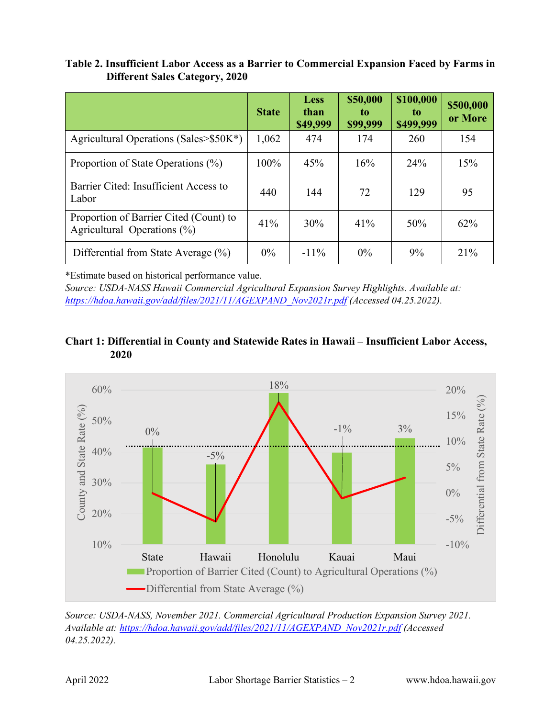#### **Table 2. Insufficient Labor Access as a Barrier to Commercial Expansion Faced by Farms in Different Sales Category, 2020**

|                                                                       | <b>State</b> | <b>Less</b><br>than<br>\$49,999 | \$50,000<br>to.<br>\$99,999 | \$100,000<br>to.<br>\$499,999 | \$500,000<br>or More |
|-----------------------------------------------------------------------|--------------|---------------------------------|-----------------------------|-------------------------------|----------------------|
| Agricultural Operations (Sales>\$50K*)                                | 1,062        | 474                             | 174                         | 260                           | 154                  |
| Proportion of State Operations (%)                                    | 100%         | 45%                             | 16%                         | 24%                           | 15%                  |
| Barrier Cited: Insufficient Access to<br>Labor                        | 440          | 144                             | 72                          | 129                           | 95                   |
| Proportion of Barrier Cited (Count) to<br>Agricultural Operations (%) | 41%          | 30%                             | 41%                         | 50%                           | 62%                  |
| Differential from State Average $(\%)$                                | $0\%$        | $-11\%$                         | $0\%$                       | 9%                            | 21%                  |

\*Estimate based on historical performance value.

*Source: USDA-NASS Hawaii Commercial Agricultural Expansion Survey Highlights. Available at: [https://hdoa.hawaii.gov/add/files/2021/11/AGEXPAND\\_Nov2021r.pdf](https://hdoa.hawaii.gov/add/files/2021/11/AGEXPAND_Nov2021r.pdf) (Accessed 04.25.2022).*

### **Chart 1: Differential in County and Statewide Rates in Hawaii – Insufficient Labor Access, 2020**



*Source: USDA-NASS, November 2021. Commercial Agricultural Production Expansion Survey 2021. Available at: [https://hdoa.hawaii.gov/add/files/2021/11/AGEXPAND\\_Nov2021r.pdf](https://hdoa.hawaii.gov/add/files/2021/11/AGEXPAND_Nov2021r.pdf) (Accessed 04.25.2022).*